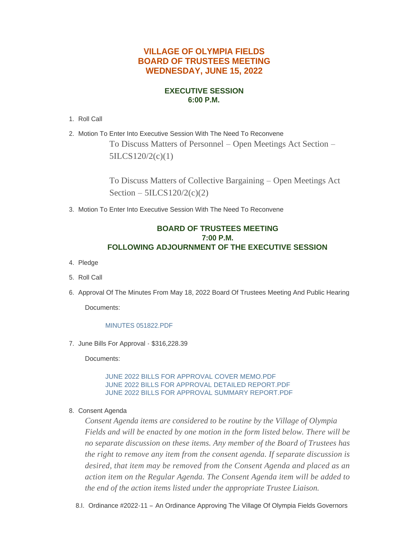# **VILLAGE OF OLYMPIA FIELDS BOARD OF TRUSTEES MEETING WEDNESDAY, JUNE 15, 2022**

## **EXECUTIVE SESSION 6:00 P.M.**

- 1. Roll Call
- Motion To Enter Into Executive Session With The Need To Reconvene 2. To Discuss Matters of Personnel – Open Meetings Act Section – 5ILCS120/2(c)(1)

To Discuss Matters of Collective Bargaining – Open Meetings Act Section  $-5ILCS120/2(c)(2)$ 

Motion To Enter Into Executive Session With The Need To Reconvene 3.

## **BOARD OF TRUSTEES MEETING 7:00 P.M. FOLLOWING ADJOURNMENT OF THE EXECUTIVE SESSION**

- 4. Pledge
- 5. Roll Call
- 6. Approval Of The Minutes From May 18, 2022 Board Of Trustees Meeting And Public Hearing

Documents:

### [MINUTES 051822.PDF](https://www.olympia-fields.com/AgendaCenter/ViewFile/Item/2311?fileID=2218)

7. June Bills For Approval - \$316,228.39

Documents:

[JUNE 2022 BILLS FOR APPROVAL COVER MEMO.PDF](https://www.olympia-fields.com/AgendaCenter/ViewFile/Item/2312?fileID=2219) [JUNE 2022 BILLS FOR APPROVAL DETAILED REPORT.PDF](https://www.olympia-fields.com/AgendaCenter/ViewFile/Item/2312?fileID=2220) [JUNE 2022 BILLS FOR APPROVAL SUMMARY REPORT.PDF](https://www.olympia-fields.com/AgendaCenter/ViewFile/Item/2312?fileID=2221)

8. Consent Agenda

*Consent Agenda items are considered to be routine by the Village of Olympia Fields and will be enacted by one motion in the form listed below. There will be no separate discussion on these items. Any member of the Board of Trustees has the right to remove any item from the consent agenda. If separate discussion is desired, that item may be removed from the Consent Agenda and placed as an action item on the Regular Agenda. The Consent Agenda item will be added to the end of the action items listed under the appropriate Trustee Liaison.*

8.I. Ordinance #2022-11 - An Ordinance Approving The Village Of Olympia Fields Governors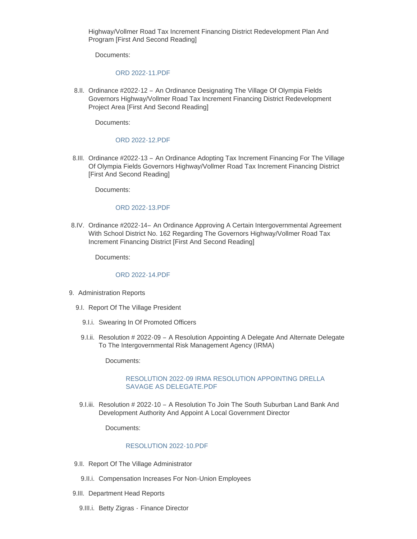Highway/Vollmer Road Tax Increment Financing District Redevelopment Plan And Program [First And Second Reading]

Documents:

#### [ORD 2022-11.PDF](https://www.olympia-fields.com/AgendaCenter/ViewFile/Item/2314?fileID=2222)

8.II. Ordinance #2022-12 - An Ordinance Designating The Village Of Olympia Fields Governors Highway/Vollmer Road Tax Increment Financing District Redevelopment Project Area [First And Second Reading]

Documents:

#### [ORD 2022-12.PDF](https://www.olympia-fields.com/AgendaCenter/ViewFile/Item/2315?fileID=2223)

8.III. Ordinance #2022-13 - An Ordinance Adopting Tax Increment Financing For The Village Of Olympia Fields Governors Highway/Vollmer Road Tax Increment Financing District [First And Second Reading]

Documents:

#### [ORD 2022-13.PDF](https://www.olympia-fields.com/AgendaCenter/ViewFile/Item/2316?fileID=2224)

8.IV. Ordinance #2022-14- An Ordinance Approving A Certain Intergovernmental Agreement With School District No. 162 Regarding The Governors Highway/Vollmer Road Tax Increment Financing District [First And Second Reading]

Documents:

#### [ORD 2022-14.PDF](https://www.olympia-fields.com/AgendaCenter/ViewFile/Item/2317?fileID=2225)

- 9. Administration Reports
	- 9.I. Report Of The Village President
		- 9.I.i. Swearing In Of Promoted Officers
		- 9.I.ii. Resolution # 2022-09 A Resolution Appointing A Delegate And Alternate Delegate To The Intergovernmental Risk Management Agency (IRMA)

Documents:

#### [RESOLUTION 2022-09 IRMA RESOLUTION APPOINTING DRELLA](https://www.olympia-fields.com/AgendaCenter/ViewFile/Item/2318?fileID=2226)  SAVAGE AS DELEGATE.PDF

9.I.iii. Resolution # 2022-10 - A Resolution To Join The South Suburban Land Bank And Development Authority And Appoint A Local Government Director

Documents:

#### [RESOLUTION 2022-10.PDF](https://www.olympia-fields.com/AgendaCenter/ViewFile/Item/2319?fileID=2227)

- 9.II. Report Of The Village Administrator
	- 9.II.i. Compensation Increases For Non-Union Employees
- 9.III. Department Head Reports
	- 9.III.i. Betty Zigras Finance Director